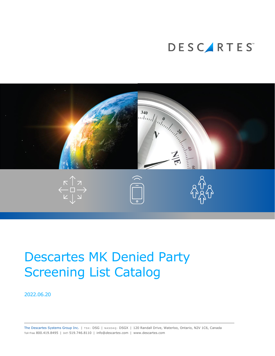



# Descartes MK Denied Party Screening List Catalog

2022.06.20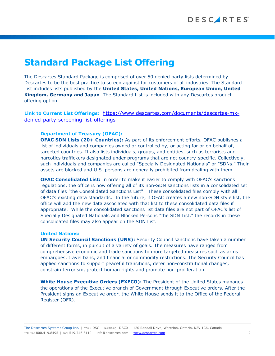The Descartes Standard Package is comprised of over 50 denied party lists determined by Descartes to be the best practice to screen against for customers of all industries. The Standard List includes lists published by the **United States, United Nations, European Union, United Kingdom, Germany and Japan**. The Standard List is included with any Descartes product offering option.

**Link to Current List Offerings:** [https://www.descartes.com/documents/descartes-mk](https://www.descartes.com/documents/descartes-mk-denied-party-screening-list-offerings)[denied-party-screening-list-offerings](https://www.descartes.com/documents/descartes-mk-denied-party-screening-list-offerings)

### **Department of Treasury (OFAC):**

**OFAC SDN Lists (20+ Countries):** As part of its enforcement efforts, OFAC publishes a list of individuals and companies owned or controlled by, or acting for or on behalf of, targeted countries. It also lists individuals, groups, and entities, such as terrorists and narcotics traffickers designated under programs that are not country-specific. Collectively, such individuals and companies are called "Specially Designated Nationals" or "SDNs." Their assets are blocked and U.S. persons are generally prohibited from dealing with them.

**OFAC Consolidated List:** In order to make it easier to comply with OFAC's sanctions regulations, the office is now offering all of its non-SDN sanctions lists in a consolidated set of data files "the Consolidated Sanctions List". These consolidated files comply with all OFAC's existing data standards. In the future, if OFAC creates a new non-SDN style list, the office will add the new data associated with that list to these consolidated data files if appropriate. While the consolidated sanctions list data files are not part of OFAC's list of Specially Designated Nationals and Blocked Persons "the SDN List," the records in these consolidated files may also appear on the SDN List.

#### **United Nations:**

**UN Security Council Sanctions (UNS):** Security Council sanctions have taken a number of different forms, in pursuit of a variety of goals. The measures have ranged from comprehensive economic and trade sanctions to more targeted measures such as arms embargoes, travel bans, and financial or commodity restrictions. The Security Council has applied sanctions to support peaceful transitions, deter non-constitutional changes, constrain terrorism, protect human rights and promote non-proliferation.

**White House Executive Orders (EXECO):** The President of the United States manages the operations of the Executive branch of Government through Executive orders. After the President signs an Executive order, the White House sends it to the Office of the Federal Register (OFR).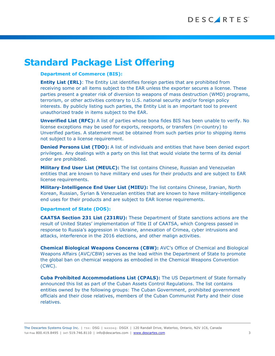### **Department of Commerce (BIS):**

**Entity List (ERL)**: The Entity List identifies foreign parties that are prohibited from receiving some or all items subject to the EAR unless the exporter secures a license. These parties present a greater risk of diversion to weapons of mass destruction (WMD) programs, terrorism, or other activities contrary to U.S. national security and/or foreign policy interests. By publicly listing such parties, the Entity List is an important tool to prevent unauthorized trade in items subject to the EAR.

**Unverified List (RFC):** A list of parties whose bona fides BIS has been unable to verify. No license exceptions may be used for exports, reexports, or transfers (in-country) to Unverified parties. A statement must be obtained from such parties prior to shipping items not subject to a license requirement.

**Denied Persons List (TDO):** A list of individuals and entities that have been denied export privileges. Any dealings with a party on this list that would violate the terms of its denial order are prohibited.

**Military End User List (MEULC):** The list contains Chinese, Russian and Venezuelan entities that are known to have military end uses for their products and are subject to EAR license requirements.

**Military-Intelligence End User List (MIEU):** The list contains Chinese, Iranian, North Korean, Russian, Syrian & Venezuelan entities that are known to have military-intelligence end uses for their products and are subject to EAR license requirements.

### **Department of State (DOS):**

**CAATSA Section 231 List (231RU):** These Department of State sanctions actions are the result of United States' implementation of Title II of CAATSA, which Congress passed in response to Russia's aggression in Ukraine, annexation of Crimea, cyber intrusions and attacks, interference in the 2016 elections, and other malign activities.

**Chemical Biological Weapons Concerns (CBW):** AVC's Office of Chemical and Biological Weapons Affairs (AVC/CBW) serves as the lead within the Department of State to promote the global ban on chemical weapons as embodied in the Chemical Weapons Convention (CWC).

**Cuba Prohibited Accommodations List (CPALS):** The US Department of State formally announced this list as part of the Cuban Assets Control Regulations. The list contains entities owned by the following groups: The Cuban Government, prohibited government officials and their close relatives, members of the Cuban Communist Party and their close relatives.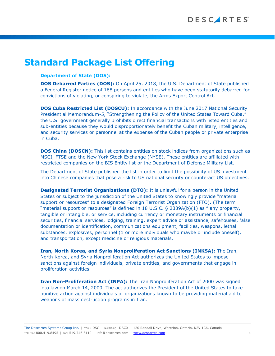#### **Department of State (DOS):**

**DOS Debarred Parties (DOS):** On April 25, 2018, the U.S. Department of State published a Federal Register notice of 168 persons and entities who have been statutorily debarred for convictions of violating, or conspiring to violate, the Arms Export Control Act.

**DOS Cuba Restricted List (DOSCU):** In accordance with the June 2017 National Security Presidential Memorandum-5, "Strengthening the Policy of the United States Toward Cuba," the U.S. government generally prohibits direct financial transactions with listed entities and sub-entities because they would disproportionately benefit the Cuban military, intelligence, and security services or personnel at the expense of the Cuban people or private enterprise in Cuba.

**DOS China (DOSCN):** This list contains entities on stock indices from organizations such as MSCI, FTSE and the New York Stock Exchange (NYSE). These entities are affiliated with restricted companies on the BIS Entity list or the Department of Defense Military List.

The Department of State published the list in order to limit the possibility of US investment into Chinese companies that pose a risk to US national security or counteract US objectives.

**Designated Terrorist Organizations (DTO):** It is unlawful for a person in the United States or subject to the jurisdiction of the United States to knowingly provide "material support or resources" to a designated Foreign Terrorist Organization (FTO). (The term "material support or resources" is defined in 18 U.S.C. § 2339A(b)(1) as " any property, tangible or intangible, or service, including currency or monetary instruments or financial securities, financial services, lodging, training, expert advice or assistance, safehouses, false documentation or identification, communications equipment, facilities, weapons, lethal substances, explosives, personnel (1 or more individuals who maybe or include oneself), and transportation, except medicine or religious materials.

**Iran, North Korea, and Syria Nonproliferation Act Sanctions (INKSA):** The Iran, North Korea, and Syria Nonproliferation Act authorizes the United States to impose sanctions against foreign individuals, private entities, and governments that engage in proliferation activities.

**Iran Non-Proliferation Act (INPA):** The Iran Nonproliferation Act of 2000 was signed into law on March 14, 2000. The act authorizes the President of the United States to take punitive action against individuals or organizations known to be providing material aid to weapons of mass destruction programs in Iran.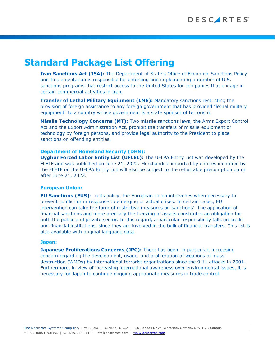**Iran Sanctions Act (ISA):** The Department of State's Office of Economic Sanctions Policy and Implementation is responsible for enforcing and implementing a number of U.S. sanctions programs that restrict access to the United States for companies that engage in certain commercial activities in Iran.

**Transfer of Lethal Military Equipment (LME):** Mandatory sanctions restricting the provision of foreign assistance to any foreign government that has provided "lethal military equipment" to a country whose government is a state sponsor of terrorism.

**Missile Technology Concerns (MT):** Two missile sanctions laws, the Arms Export Control Act and the Export Administration Act, prohibit the transfers of missile equipment or technology by foreign persons, and provide legal authority to the President to place sanctions on offending entities.

#### **Department of Homeland Security (DHS):**

**Uyghur Forced Labor Entity List (UFLEL):** The UFLPA Entity List was developed by the FLETF and was published on June 21, 2022. Merchandise imported by entities identified by the FLETF on the UFLPA Entity List will also be subject to the rebuttable presumption on or after June 21, 2022.

#### **European Union:**

**EU Sanctions (EUS)**: In its policy, the European Union intervenes when necessary to prevent conflict or in response to emerging or actual crises. In certain cases, EU intervention can take the form of restrictive measures or 'sanctions'. The application of financial sanctions and more precisely the freezing of assets constitutes an obligation for both the public and private sector. In this regard, a particular responsibility falls on credit and financial institutions, since they are involved in the bulk of financial transfers. This list is also available with original language data.

#### **Japan:**

**Japanese Proliferations Concerns (JPC):** There has been, in particular, increasing concern regarding the development, usage, and proliferation of weapons of mass destruction (WMDs) by international terrorist organizations since the 9.11 attacks in 2001. Furthermore, in view of increasing international awareness over environmental issues, it is necessary for Japan to continue ongoing appropriate measures in trade control.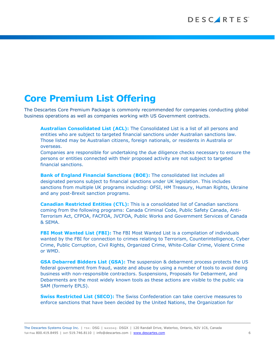# **Core Premium List Offering**

The Descartes Core Premium Package is commonly recommended for companies conducting global business operations as well as companies working with US Government contracts.

**Australian Consolidated List (ACL):** The Consolidated List is a list of all persons and entities who are subject to targeted financial sanctions under Australian sanctions law. Those listed may be Australian citizens, foreign nationals, or residents in Australia or overseas.

Companies are responsible for undertaking the due diligence checks necessary to ensure the persons or entities connected with their proposed activity are not subject to targeted financial sanctions.

**Bank of England Financial Sanctions (BOE):** The consolidated list includes all designated persons subject to financial sanctions under UK legislation. This includes sanctions from multiple UK programs including: OFSI, HM Treasury, Human Rights, Ukraine and any post-Brexit sanction programs.

**Canadian Restricted Entities (CTL):** This is a consolidated list of Canadian sanctions coming from the following programs: Canada Criminal Code, Public Safety Canada, Anti-Terrorism Act, CFPOA, FACFOA, JVCFOA, Public Works and Government Services of Canada & SEMA.

**FBI Most Wanted List (FBI):** The FBI Most Wanted List is a compilation of individuals wanted by the FBI for connection to crimes relating to Terrorism, Counterintelligence, Cyber Crime, Public Corruption, Civil Rights, Organized Crime, White-Collar Crime, Violent Crime or WMD.

**GSA Debarred Bidders List (GSA):** The suspension & debarment process protects the US federal government from fraud, waste and abuse by using a number of tools to avoid doing business with non-responsible contractors. Suspensions, Proposals for Debarment, and Debarments are the most widely known tools as these actions are visible to the public via SAM (formerly EPLS).

**Swiss Restricted List (SECO):** The Swiss Confederation can take coercive measures to enforce sanctions that have been decided by the United Nations, the Organization for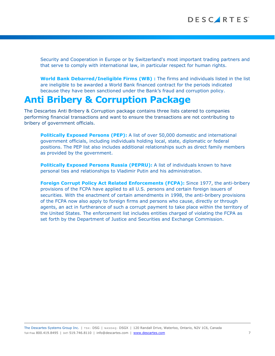Security and Cooperation in Europe or by Switzerland's most important trading partners and that serve to comply with international law, in particular respect for human rights.

**World Bank Debarred/Ineligible Firms (WB) :** The firms and individuals listed in the list are ineligible to be awarded a World Bank financed contract for the periods indicated because they have been sanctioned under the Bank's fraud and corruption policy.

### **Anti Bribery & Corruption Package**

The Descartes Anti Bribery & Corruption package contains three lists catered to companies performing financial transactions and want to ensure the transactions are not contributing to bribery of government officials.

**Politically Exposed Persons (PEP):** A list of over 50,000 domestic and international government officials, including individuals holding local, state, diplomatic or federal positions. The PEP list also includes additional relationships such as direct family members as provided by the government.

**Politically Exposed Persons Russia (PEPRU):** A list of individuals known to have personal ties and relationships to Vladimir Putin and his administration.

**Foreign Corrupt Policy Act Related Enforcements (FCPA):** Since 1977, the anti-bribery provisions of the FCPA have applied to all U.S. persons and certain foreign issuers of securities. With the enactment of certain amendments in 1998, the anti-bribery provisions of the FCPA now also apply to foreign firms and persons who cause, directly or through agents, an act in furtherance of such a corrupt payment to take place within the territory of the United States. The enforcement list includes entities charged of violating the FCPA as set forth by the Department of Justice and Securities and Exchange Commission.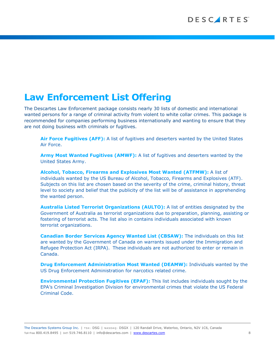# **Law Enforcement List Offering**

The Descartes Law Enforcement package consists nearly 30 lists of domestic and international wanted persons for a range of criminal activity from violent to white collar crimes. This package is recommended for companies performing business internationally and wanting to ensure that they are not doing business with criminals or fugitives.

**Air Force Fugitives (AFF):** A list of fugitives and deserters wanted by the United States Air Force.

**Army Most Wanted Fugitives (AMWF):** A list of fugitives and deserters wanted by the United States Army.

**Alcohol, Tobacco, Firearms and Explosives Most Wanted (ATFMW):** A list of individuals wanted by the US Bureau of Alcohol, Tobacco, Firearms and Explosives (ATF). Subjects on this list are chosen based on the severity of the crime, criminal history, threat level to society and belief that the publicity of the list will be of assistance in apprehending the wanted person.

**Australia Listed Terrorist Organizations (AULTO):** A list of entities designated by the Government of Australia as terrorist organizations due to preparation, planning, assisting or fostering of terrorist acts. The list also in contains individuals associated with known terrorist organizations.

**Canadian Border Services Agency Wanted List (CBSAW):** The individuals on this list are wanted by the Government of Canada on warrants issued under the Immigration and Refugee Protection Act (IRPA). These individuals are not authorized to enter or remain in Canada.

**Drug Enforcement Administration Most Wanted (DEAMW):** Individuals wanted by the US Drug Enforcement Administration for narcotics related crime.

**Environmental Protection Fugitives (EPAF):** This list includes individuals sought by the EPA's Criminal Investigation Division for environmental crimes that violate the US Federal Criminal Code.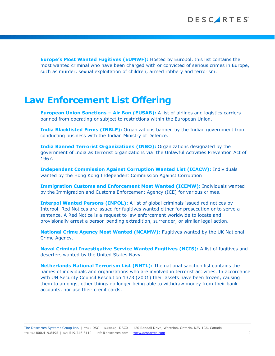**Europe's Most Wanted Fugitives (EUMWF):** Hosted by Europol, this list contains the most wanted criminal who have been charged with or convicted of serious crimes in Europe, such as murder, sexual exploitation of children, armed robbery and terrorism.

### **Law Enforcement List Offering**

**European Union Sanctions – Air Ban (EUSAB):** A list of airlines and logistics carriers banned from operating or subject to restrictions within the European Union.

**India Blacklisted Firms (INBLF):** Organizations banned by the Indian government from conducting business with the Indian Ministry of Defence.

**India Banned Terrorist Organizations (INBO):** Organizations designated by the government of India as terrorist organizations via the Unlawful Activities Prevention Act of 1967.

**Independent Commission Against Corruption Wanted List (ICACW):** Individuals wanted by the Hong Kong Independent Commission Against Corruption

**Immigration Customs and Enforcement Most Wanted (ICEMW):** Individuals wanted by the Immigration and Customs Enforcement Agency (ICE) for various crimes.

**Interpol Wanted Persons (INPOL):** A list of global criminals issued red notices by Interpol. Red Notices are issued for fugitives wanted either for prosecution or to serve a sentence. A Red Notice is a request to law enforcement worldwide to locate and provisionally arrest a person pending extradition, surrender, or similar legal action.

**National Crime Agency Most Wanted (NCAMW):** Fugitives wanted by the UK National Crime Agency.

**Naval Criminal Investigative Service Wanted Fugitives (NCIS):** A list of fugitives and deserters wanted by the United States Navy.

**Netherlands National Terrorism List (NNTL):** The national sanction list contains the names of individuals and organizations who are involved in terrorist activities. In accordance with UN Security Council Resolution 1373 (2001) their assets have been frozen, causing them to amongst other things no longer being able to withdraw money from their bank accounts, nor use their credit cards.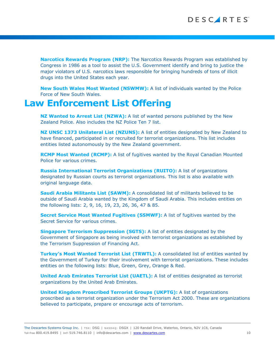**Narcotics Rewards Program (NRP):** The Narcotics Rewards Program was established by Congress in 1986 as a tool to assist the U.S. Government identify and bring to justice the major violators of U.S. narcotics laws responsible for bringing hundreds of tons of illicit drugs into the United States each year.

**New South Wales Most Wanted (NSWMW):** A list of individuals wanted by the Police Force of New South Wales.

### **Law Enforcement List Offering**

**NZ Wanted to Arrest List (NZWA):** A list of wanted persons published by the New Zealand Police. Also includes the NZ Police Ten 7 list.

**NZ UNSC 1373 Unilateral List (NZUNS):** A list of entities designated by New Zealand to have financed, participated in or recruited for terrorist organizations. This list includes entities listed autonomously by the New Zealand government.

**RCMP Most Wanted (RCMP):** A list of fugitives wanted by the Royal Canadian Mounted Police for various crimes.

**Russia International Terrorist Organizations (RUITO):** A list of organizations designated by Russian courts as terrorist organizations. This list is also available with original language data.

**Saudi Arabia Militants List (SAWM):** A consolidated list of militants believed to be outside of Saudi Arabia wanted by the Kingdom of Saudi Arabia. This includes entities on the following lists: 2, 9, 16, 19, 23, 26, 36, 47 & 85.

**Secret Service Most Wanted Fugitives (SSMWF):** A list of fugitives wanted by the Secret Service for various crimes.

**Singapore Terrorism Suppression (SGTS):** A list of entities designated by the Government of Singapore as being involved with terrorist organizations as established by the Terrorism Suppression of Financing Act.

**Turkey's Most Wanted Terrorist List (TRWTL):** A consolidated list of entities wanted by the Government of Turkey for their involvement with terrorist organizations. These includes entities on the following lists: Blue, Green, Grey, Orange & Red.

**United Arab Emirates Terrorist List (UAETL):** A list of entities designated as terrorist organizations by the United Arab Emirates.

**United Kingdom Proscribed Terrorist Groups (UKPTG):** A list of organizations proscribed as a terrorist organization under the Terrorism Act 2000. These are organizations believed to participate, prepare or encourage acts of terrorism.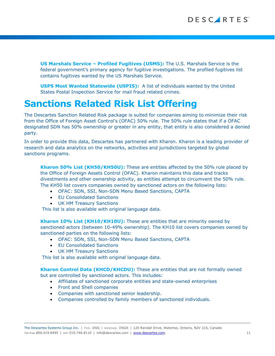**US Marshals Service – Profiled Fugitives (USMS):** The U.S. Marshals Service is the federal government's primary agency for fugitive investigations. The profiled fugitives list contains fugitives wanted by the US Marshals Service.

**USPS Most Wanted Statewide (USPIS):** A list of individuals wanted by the United States Postal Inspection Service for mail fraud related crimes.

# **Sanctions Related Risk List Offering**

The Descartes Sanction Related Risk package is suited for companies aiming to minimize their risk from the Office of Foreign Asset Control's (OFAC) 50% rule. The 50% rule states that if a OFAC designated SDN has 50% ownership or greater in any entity, that entity is also considered a denied party.

In order to provide this data, Descartes has partnered with Kharon. Kharon is a leading provider of research and data analytics on the networks, activities and jurisdictions targeted by global sanctions programs.

**Kharon 50% List (KH50/KH50U):** These are entities affected by the 50% rule placed by the Office of Foreign Assets Control (OFAC). Kharon maintains this data and tracks divestments and other ownership activity, as entities attempt to circumvent the 50% rule. The KH50 list covers companies owned by sanctioned actors on the following lists:

- OFAC: SDN, SSI, Non-SDN Menu Based Sanctions, CAPTA
- EU Consolidated Sanctions
- UK HM Treasury Sanctions

This list is also available with original language data.

**Kharon 10% List (KH10/KH10U):** These are entities that are minority owned by sanctioned actors (between 10-49% ownership). The KH10 list covers companies owned by sanctioned parties on the following lists:

- OFAC: SDN, SSI, Non-SDN Menu Based Sanctions, CAPTA
- EU Consolidated Sanctions
- UK HM Treasury Sanctions

This list is also available with original language data.

**Kharon Control Data (KHCD/KHCDU):** These are entities that are not formally owned but are controlled by sanctioned actors. This includes:

- Affiliates of sanctioned corporate entities and state-owned enterprises
- Front and Shell companies
- Companies with sanctioned senior leadership.
- Companies controlled by family members of sanctioned individuals.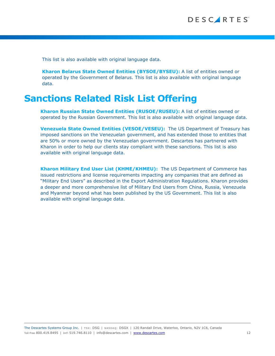This list is also available with original language data.

**Kharon Belarus State Owned Entities (BYSOE/BYSEU):** A list of entities owned or operated by the Government of Belarus. This list is also available with original language data.

### **Sanctions Related Risk List Offering**

**Kharon Russian State Owned Entities (RUSOE/RUSEU):** A list of entities owned or operated by the Russian Government. This list is also available with original language data.

**Venezuela State Owned Entities (VESOE/VESEU):** The US Department of Treasury has imposed sanctions on the Venezuelan government, and has extended those to entities that are 50% or more owned by the Venezuelan government. Descartes has partnered with Kharon in order to help our clients stay compliant with these sanctions. This list is also available with original language data.

**Kharon Military End User List (KHME/KHMEU):** The US Department of Commerce has issued restrictions and license requirements impacting any companies that are defined as "Military End Users" as described in the Export Administration Regulations. Kharon provides a deeper and more comprehensive list of Military End Users from China, Russia, Venezuela and Myanmar beyond what has been published by the US Government. This list is also available with original language data.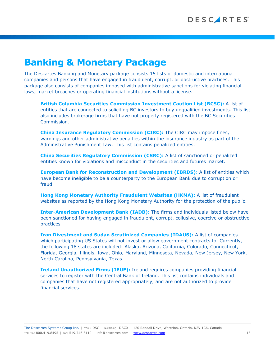# **Banking & Monetary Package**

The Descartes Banking and Monetary package consists 15 lists of domestic and international companies and persons that have engaged in fraudulent, corrupt, or obstructive practices. This package also consists of companies imposed with administrative sanctions for violating financial laws, market breaches or operating financial institutions without a license.

**British Columbia Securities Commission Investment Caution List (BCSC):** A list of entities that are connected to soliciting BC investors to buy unqualified investments. This list also includes brokerage firms that have not properly registered with the BC Securities Commission.

**China Insurance Regulatory Commission (CIRC):** The CIRC may impose fines, warnings and other administrative penalties within the insurance industry as part of the Administrative Punishment Law. This list contains penalized entities.

**China Securities Regulatory Commission (CSRC):** A list of sanctioned or penalized entities known for violations and misconduct in the securities and futures market.

**European Bank for Reconstruction and Development (EBRDS):** A list of entities which have become ineligible to be a counterparty to the European Bank due to corruption or fraud.

**Hong Kong Monetary Authority Fraudulent Websites (HKMA):** A list of fraudulent websites as reported by the Hong Kong Monetary Authority for the protection of the public.

**Inter-American Development Bank (IADB):** The firms and individuals listed below have been sanctioned for having engaged in fraudulent, corrupt, collusive, coercive or obstructive practices

**Iran Divestment and Sudan Scrutinized Companies (IDAUS):** A list of companies which participating US States will not invest or allow government contracts to. Currently, the following 18 states are included: Alaska, Arizona, California, Colorado, Connecticut, Florida, Georgia, Illinois, Iowa, Ohio, Maryland, Minnesota, Nevada, New Jersey, New York, North Carolina, Pennsylvania, Texas.

**Ireland Unauthorized Firms (IEUF):** Ireland requires companies providing financial services to register with the Central Bank of Ireland. This list contains individuals and companies that have not registered appropriately, and are not authorized to provide financial services.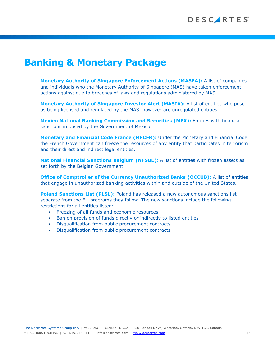# **Banking & Monetary Package**

**Monetary Authority of Singapore Enforcement Actions (MASEA):** A list of companies and individuals who the Monetary Authority of Singapore (MAS) have taken enforcement actions against due to breaches of laws and regulations administered by MAS.

**Monetary Authority of Singapore Investor Alert (MASIA):** A list of entities who pose as being licensed and regulated by the MAS, however are unregulated entities.

**Mexico National Banking Commission and Securities (MEX):** Entities with financial sanctions imposed by the Government of Mexico.

**Monetary and Financial Code France (MFCFR):** Under the Monetary and Financial Code, the French Government can freeze the resources of any entity that participates in terrorism and their direct and indirect legal entities.

**National Financial Sanctions Belgium (NFSBE):** A list of entities with frozen assets as set forth by the Belgian Government.

**Office of Comptroller of the Currency Unauthorized Banks (OCCUB):** A list of entities that engage in unauthorized banking activities within and outside of the United States.

**Poland Sanctions List (PLSL):** Poland has released a new autonomous sanctions list separate from the EU programs they follow. The new sanctions include the following restrictions for all entities listed:

- Freezing of all funds and economic resources
- Ban on provision of funds directly or indirectly to listed entities
- Disqualification from public procurement contracts
- Disqualification from public procurement contracts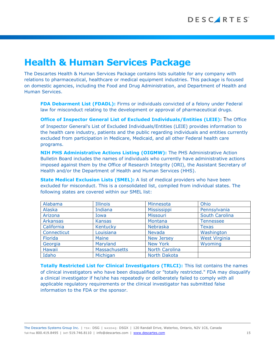# **Health & Human Services Package**

The Descartes Health & Human Services Package contains lists suitable for any company with relations to pharmaceutical, healthcare or medical equipment industries. This package is focused on domestic agencies, including the Food and Drug Administration, and Department of Health and Human Services.

**FDA Debarment List (FDADL):** Firms or individuals convicted of a felony under Federal law for misconduct relating to the development or approval of pharmaceutical drugs.

**Office of Inspector General List of Excluded Individuals/Entities (LEIE):** The Office of Inspector General's List of Excluded Individuals/Entities (LEIE) provides information to the health care industry, patients and the public regarding individuals and entities currently excluded from participation in Medicare, Medicaid, and all other Federal health care programs.

**NIH PHS Administrative Actions Listing (OIGMW):** The [PHS Administrative Action](http://ori.hhs.gov/ORI_PHS_alert.html)  [Bulletin Board](http://ori.hhs.gov/ORI_PHS_alert.html) includes the names of individuals who currently have administrative actions imposed against them by the Office of Research Integrity (ORI), the Assistant Secretary of Health and/or the Department of Health and Human Services (HHS).

**State Medical Exclusion Lists (SMEL):** A list of medical providers who have been excluded for misconduct. This is a consolidated list, compiled from individual states. The following states are covered within our SMEL list:

| Alabama         | <b>Illinois</b> | Minnesota             | Ohio                 |
|-----------------|-----------------|-----------------------|----------------------|
| Alaska          | Indiana         | <b>Mississippi</b>    | Pennsylvania         |
| Arizona         | Iowa            | Missouri              | South Carolina       |
| <b>Arkansas</b> | <b>Kansas</b>   | Montana               | <b>Tennessee</b>     |
| California      | Kentucky        | Nebraska              | <b>Texas</b>         |
| Connecticut     | Louisiana       | Nevada                | Washington           |
| Florida         | <b>Maine</b>    | <b>New Jersey</b>     | <b>West Virginia</b> |
| Georgia         | Maryland        | <b>New York</b>       | Wyoming              |
| Hawaii          | Massachusetts   | <b>North Carolina</b> |                      |
| Idaho           | Michigan        | North Dakota          |                      |

**Totally Restricted List for Clinical Investigators (TRLCI):** This list contains the names of clinical investigators who have been disqualified or "totally restricted." FDA may disqualify a clinical investigator if he/she has repeatedly or deliberately failed to comply with all applicable regulatory requirements or the clinical investigator has submitted false information to the FDA or the sponsor.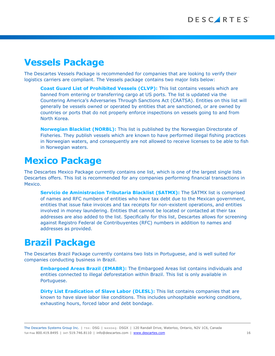# **Vessels Package**

The Descartes Vessels Package is recommended for companies that are looking to verify their logistics carriers are compliant. The Vessels package contains two major lists below:

**Coast Guard List of Prohibited Vessels (CLVP):** This list contains vessels which are banned from entering or transferring cargo at US ports. The list is updated via the Countering America's Adversaries Through Sanctions Act (CAATSA). Entities on this list will generally be vessels owned or operated by entities that are sanctioned, or are owned by countries or ports that do not properly enforce inspections on vessels going to and from North Korea.

**Norwegian Blacklist (NORBL):** This list is published by the Norwegian Directorate of Fisheries. They publish vessels which are known to have performed illegal fishing practices in Norwegian waters, and consequently are not allowed to receive licenses to be able to fish in Norwegian waters.

# **Mexico Package**

The Descartes Mexico Package currently contains one list, which is one of the largest single lists Descartes offers. This list is recommended for any companies performing financial transactions in Mexico.

**Servicio de Aministracion Tributaria Blacklist (SATMX):** The SATMX list is comprised of names and RFC numbers of entities who have tax debt due to the Mexican government, entities that issue fake invoices and tax receipts for non-existent operations, and entities involved in money laundering. Entities that cannot be located or contacted at their tax addresses are also added to the list. Specifically for this list, Descartes allows for screening against Registro Federal de Contribuyentes (RFC) numbers in addition to names and addresses as provided.

# **Brazil Package**

The Descartes Brazil Package currently contains two lists in Portuguese, and is well suited for companies conducting business in Brazil.

**Embargoed Areas Brazil (EMABR):** The Embargoed Areas list contains individuals and entities connected to illegal deforestation within Brazil. This list is only available in Portuguese.

**Dirty List Eradication of Slave Labor (DLESL):** This list contains companies that are known to have slave labor like conditions. This includes unhospitable working conditions, exhausting hours, forced labor and debt bondage.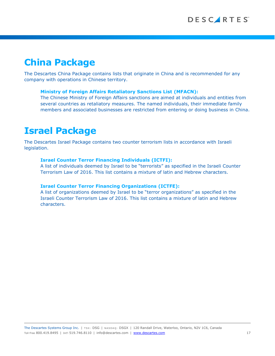# **China Package**

The Descartes China Package contains lists that originate in China and is recommended for any company with operations in Chinese territory.

### **Ministry of Foreign Affairs Retaliatory Sanctions List (MFACN):**

The Chinese Ministry of Foreign Affairs sanctions are aimed at individuals and entities from several countries as retaliatory measures. The named individuals, their immediate family members and associated businesses are restricted from entering or doing business in China.

### **Israel Package**

The Descartes Israel Package contains two counter terrorism lists in accordance with Israeli legislation.

### **Israel Counter Terror Financing Individuals (ICTFI):**

A list of individuals deemed by Israel to be "terrorists" as specified in the Israeli Counter Terrorism Law of 2016. This list contains a mixture of latin and Hebrew characters.

#### **Israel Counter Terror Financing Organizations (ICTFE):**

A list of organizations deemed by Israel to be "terror organizations" as specified in the Israeli Counter Terrorism Law of 2016. This list contains a mixture of latin and Hebrew characters.